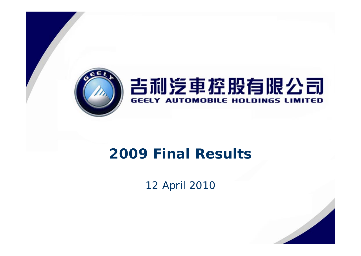

# **2009 Final Results**

12 April 2010

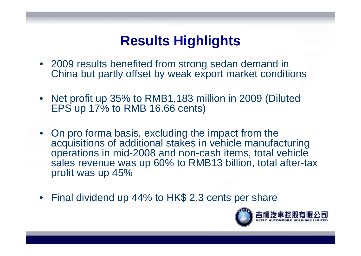# **Results Highlights**

- 2009 results benefited from strong sedan demand in China but partly offset by weak export market conditions
- •Net profit up 35% to RMB1,183 million in 2009 (Diluted EPS up 17% to RMB 16.66 cents)
- On pro forma basis, excluding the impact from the acquisitions of additional stakes in vehicle manufacturing o perations in mid-2008 and non-cash items, total vehicle sales revenue was up 60% to RMB13 billion, total after-tax profit was up 45%
- $\bullet$ Final dividend up 44% to HK\$ 2.3 cents per share

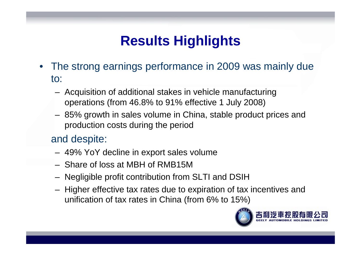# **Results Highlights**

- •The strong earnings performance in 2009 was mainly due to:
	- – Acquisition of additional stakes in vehicle manufacturing operations (from 46.8% to 91% effective 1 July 2008)
	- – 85% growth in sales volume in China, stable product prices and production costs during the period

#### and despite:

- 49% YoY decline in ex port sales volume
- Share of loss at MBH of RMB15M
- Negligible profit contribution from SLTI and DSIH
- –– Higher effective tax rates due to expiration of tax incentives and unification of tax rates in China (from 6% to 15%)

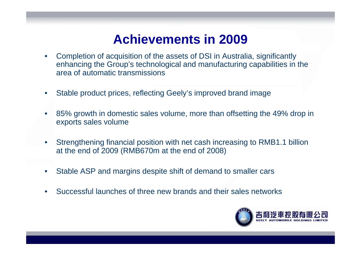#### **Achievements in 2009**

- $\bullet$  Completion of acquisition of the assets of DSI in Australia, significantly enhancing the Group's technological and manufacturing capabilities in the area of automatic transmissions
- $\bullet$ Stable product prices, reflecting Geely's improved brand image
- $\bullet$  85% growth in domestic sales volume, more than offsetting the 49% drop in exports sales volume
- $\bullet$  Strengthening financial position with net cash increasing to RMB1.1 billion at the end of 2009 (RMB670m at the end of 2008)
- •Stable ASP and margins despite shift of demand to smaller cars
- $\bullet$ Successful launches of three new brands and their sales networks

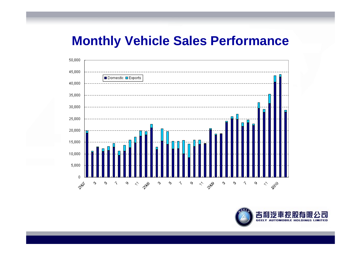### **Monthly Vehicle Sales Performance**



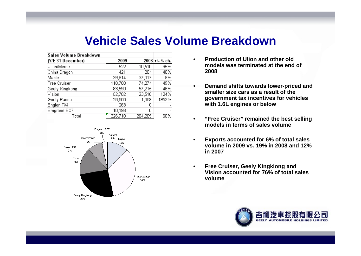#### **Vehicle Sales Volume Breakdown**

| Sales Volume Breakdown |         |         |                |
|------------------------|---------|---------|----------------|
| (Y/E 31 December)      | 2009    |         | 2008 +/- % ch. |
| Ulion/Merrie           | 522     | 10,510  | $-95%$         |
| China Dragon           | 421     | 284     | 48%            |
| Maple                  | 39,814  | 37,017  | 8%             |
| Free Cruiser           | 110,700 | 74,274  | 49%            |
| Geely Kingkong         | 83,590  | 57,215  | 46%            |
| Vision                 | 52,702  | 23,516  | 124%           |
| Geely Panda            | 28,500  | 1,389   | 1952%          |
| Englon TX4             | 263     | Π       |                |
| Emgrand EC7            | 10,198  | Ο       |                |
| Total                  | 326,710 | 204,205 | 60%            |



- • **Production of Ulion and other old models was terminated at the end of 2008**
- • **Demand shifts towards lower-priced and smaller size cars as a result of the government tax incentives for vehicles with 1.6L engines or below**
- • **"Free Cruiser" remained the best selling models in terms of sales volume**
- • **Exports accounted for 6% of total sales volume in 2009 vs. 19% in 2008 and 12% in 2007**
- • **Free Cruiser, Geely Kingkiong and Vision accounted for 76% of total sales volume**

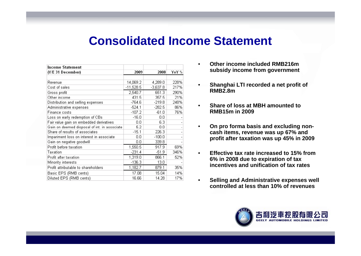#### **Consolidated Income Statement**

| Income Statement                             |             |          |       |
|----------------------------------------------|-------------|----------|-------|
| (Y/E 31 December)                            | 2009        | 2008     | YoY % |
|                                              |             |          |       |
| Revenue                                      | 14,069.2    | 4,289.0  | 228%  |
| Cost of sales                                | $-11,528.5$ | -3,637.8 | 217%  |
| Gross profit                                 | 2,540.7     | 651.3    | 290%  |
| Other income                                 | 431.5       | 357.5    | 21%   |
| Distribution and selling expenses            | $-764.6$    | $-219.8$ | 248%  |
| Administrative expenses                      | $-524.1$    | $-282.5$ | 86%   |
| Finance costs                                | $-107.2$    | $-61.0$  | 76%   |
| Loss on early redemption of CBs              | $-16.0$     | 0.0      |       |
| Fair value gain on embedded derivatives      | 0.0         | 6.3      |       |
| Gain on deemed disposal of int. in associate | 5.2         | 0.0      |       |
| Share of results of associates               | $-15.1$     | 226.3    |       |
| Impariment loss on interest in associate     | 0.0         | $-100.0$ |       |
| Gain on negative goodwill                    | 0.0         | 339.8    |       |
| Profit before taxation                       | 1,550.5     | 917.9    | 69%   |
| Taxation                                     | $-231.4$    | $-51.9$  | 346%  |
| Profit after taxation                        | 1,319.0     | 866.1    | 52%   |
| Minority interests                           | $-136.3$    | 13.0     |       |
| Profit attributable to shareholders          | 1,182.7     | 879.1    | 35%   |
| Basic EPS (RMB cents)                        | 17.08       | 15.04    | 14%   |
| Diluted EPS (RMB cents)                      | 16.66       | 14.28    | 17%   |

- • **Other income included RMB216m subsidy income from government**
- • **Shanghai LTI recorded a net profit of RMB2.8m**
- • **Share of loss at MBH amounted to RMB15m in 2009**
- • **On pro forma basis and excluding non pro excluding noncash items, revenue was up 67% and profit after taxation was up 45% in 2009**
- • **Effective tax rate increased to 15% from 6% in 2008 due to expiration of tax incentives and unification of tax rates**
- • **Selling and Administrative expenses well controlled at less than 10% of revenues controlled**. . . . . . . . . . . . . . . . .

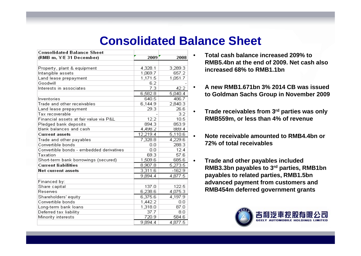### **Consolidated Balance Sheet**

| <b>Consolidated Balance Sheet</b>        |          |          |
|------------------------------------------|----------|----------|
| (RMB m, Y/E 31 December)                 | 2009     | 2008     |
|                                          |          |          |
| Property, plant & equipment              | 4,328.1  | 3,289.3  |
| Intangible assets                        | 1,069.7  | 657.2    |
| Land lease prepayment                    | 1,171.5  | 1,051.7  |
| Goodwill                                 | 6.2      |          |
| Interests in associates                  | 7.3      | 42.2     |
|                                          | 6,582.8  | 5,040.4  |
| Inventories                              | 640.5    | 486.7    |
| Trade and other receivables              | 6,144.9  | 2,840.3  |
| Land lease prepayment                    | 29.3     | 26.6     |
| Tax recoverable                          |          | 3.2      |
| Financial assets at fair value via P&L   | 12.2     | 10.5     |
| Pledged bank deposits                    | 894.3    | 853.9    |
| Bank balances and cash                   | 4,498.2  | 889.4    |
| <b>Current assets</b>                    | 12,219.4 | 5,110.6  |
| Trade and other payables                 | 7,328.8  | 4,229.6  |
| Convertible bonds                        | 0.0      | 288.3    |
| Convertible bonds - embedded derivatives | 0.0      | 12.4     |
| Taxation                                 | 69.3     | 57.6     |
| Short-term bank borrowings (secured)     | 1,509.6  | 685.6    |
| <b>Current liabilities</b>               | 8,907.8  | 5,273.5  |
| Net current assets                       | 3,311.6  | $-162.9$ |
|                                          | 9,894.4  | 4,877.5  |
| Financed by:                             |          |          |
| Share capital                            | 137.0    | 122.5    |
| Reserves                                 | 6,238.6  | 4,075.3  |
| Shareholders' equity                     | 6,375.6  | 4,197.9  |
| Convertible bonds                        | 1,442.2  | 0.0      |
| Long-term bank loans                     | 1,318.0  | 87.0     |
| Deferred tax liability                   | 37.7     | 8.0      |
| Minority interests                       | 720.9    | 584.6    |
|                                          | 9,894.4  | 4,877.5  |

- • **Total cash balance increased 209% to RMB5.4bn at the end of 2009. Net cash also increased 68% to RMB1 1bn RMB1.1bn**
- • **A new RMB1.671bn 3% 2014 CB was issued to Goldman Sachs Group in November 2009**
- • **Trade receivables from 3rd parties was only RMB559m, or less than 4% of revenue**
- • **Note receivable amounted to RMB4.4bn or 72% of total receivables**
- • **Trade and other payables included RMB3.3bn payables to 3rd parties, RMB1bn payables to related parties, RMB1.5bn advanced payment from customers and RMB454m deferred government grants**

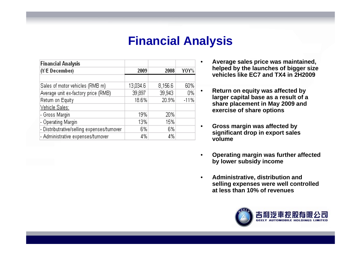### **Financial Analysis**

•

| <b>Financial Analysis</b>                   |          |         |        |
|---------------------------------------------|----------|---------|--------|
| (Y/E December)                              | 2009     | 2008    | Y0Y%   |
|                                             |          |         |        |
| Sales of motor vehicles (RMB m)             | 13,034.6 | 8,156.6 | 60%    |
| Average unit ex-factory price (RMB)         | 39,897   | 39,943  | 0%     |
| Return on Equity                            | 18.6%    | 20.9%   | $-11%$ |
| Vehicle Sales:                              |          |         |        |
| - Gross Margin                              | 19%      | 20%     |        |
| - Operating Margin                          | 13%      | 15%     |        |
| - Distributrative/selling expenses/turnover | 6%       | 6%      |        |
| - Administrative expenses/turnover          | 4%       | 4%      |        |

- **Average sales price was maintained, helped by the launches of bigger size launches vehicles like EC7 and TX4 in 2H2009**
- • **Return on equity was affected by larger capital base as <sup>a</sup> result of <sup>a</sup> share placement in May 2009 and exercise of share options**
- • **Gross margin was affected by significant drop in export sales volume**
- • **Operating margin was further affected by lower subsidy income**
- • **Administrative, distribution and selling expenses were well controlled at less than 10% of revenues**

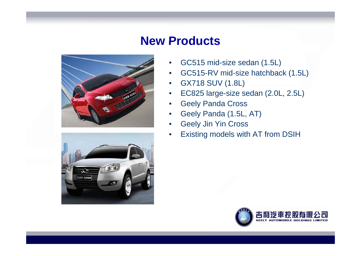### **New Products**





- $\bullet$ GC515 mid-size sedan (1.5L)
- •GC515-RV mid-size hatchback (1.5L)
- $\bullet$ GX718 SUV (1.8L)
- $\bullet$ EC825 large-size sedan (2.0L, 2.5L)
- •Geely Panda Cross
- •Geely Panda (1.5L, AT)
- •Geel y Jin Yin Cross
- •Existing models with AT from DSIH